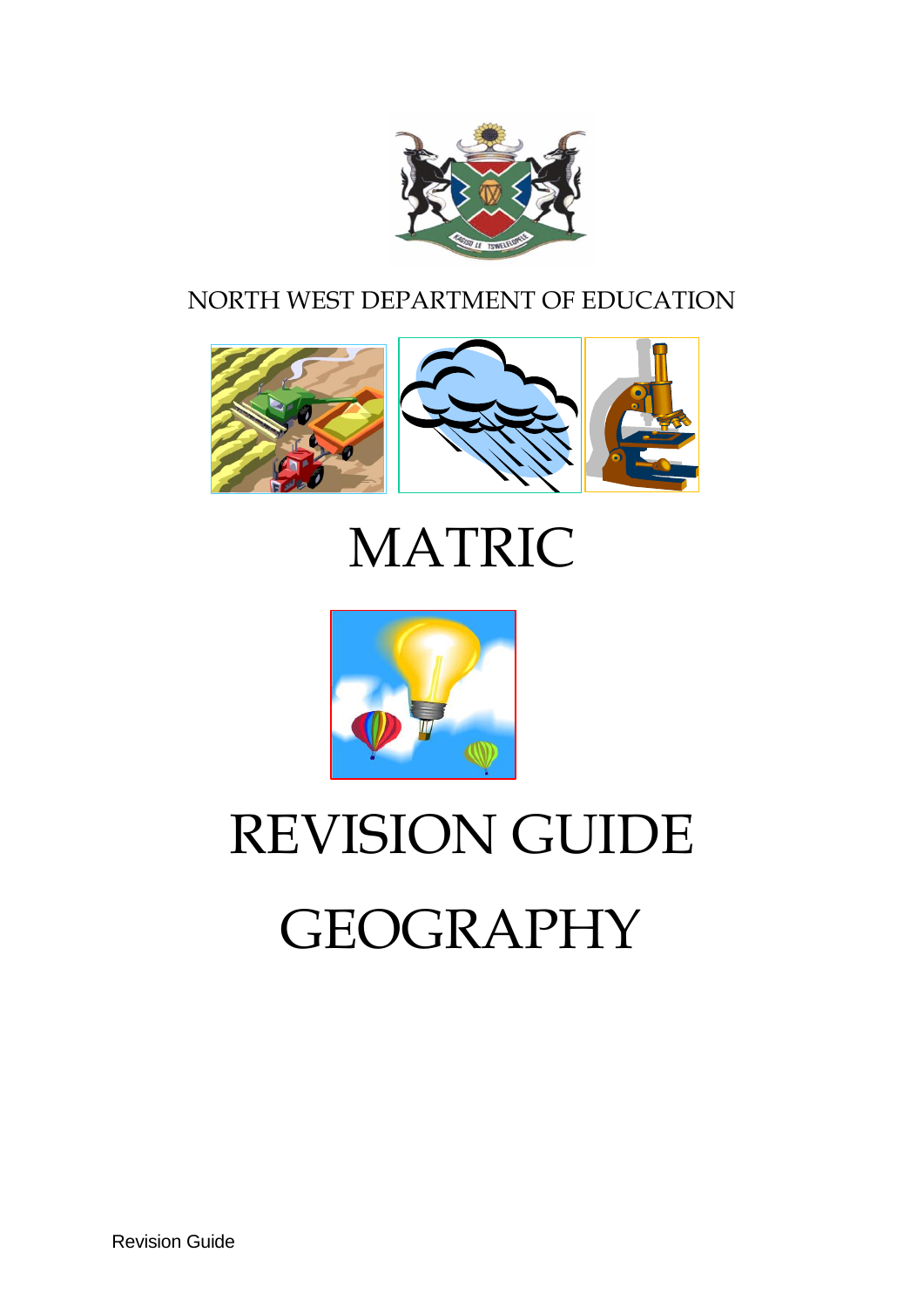

# NORTH WEST DEPARTMENT OF EDUCATION



# MATRIC



# REVISION GUIDE GEOGRAPHY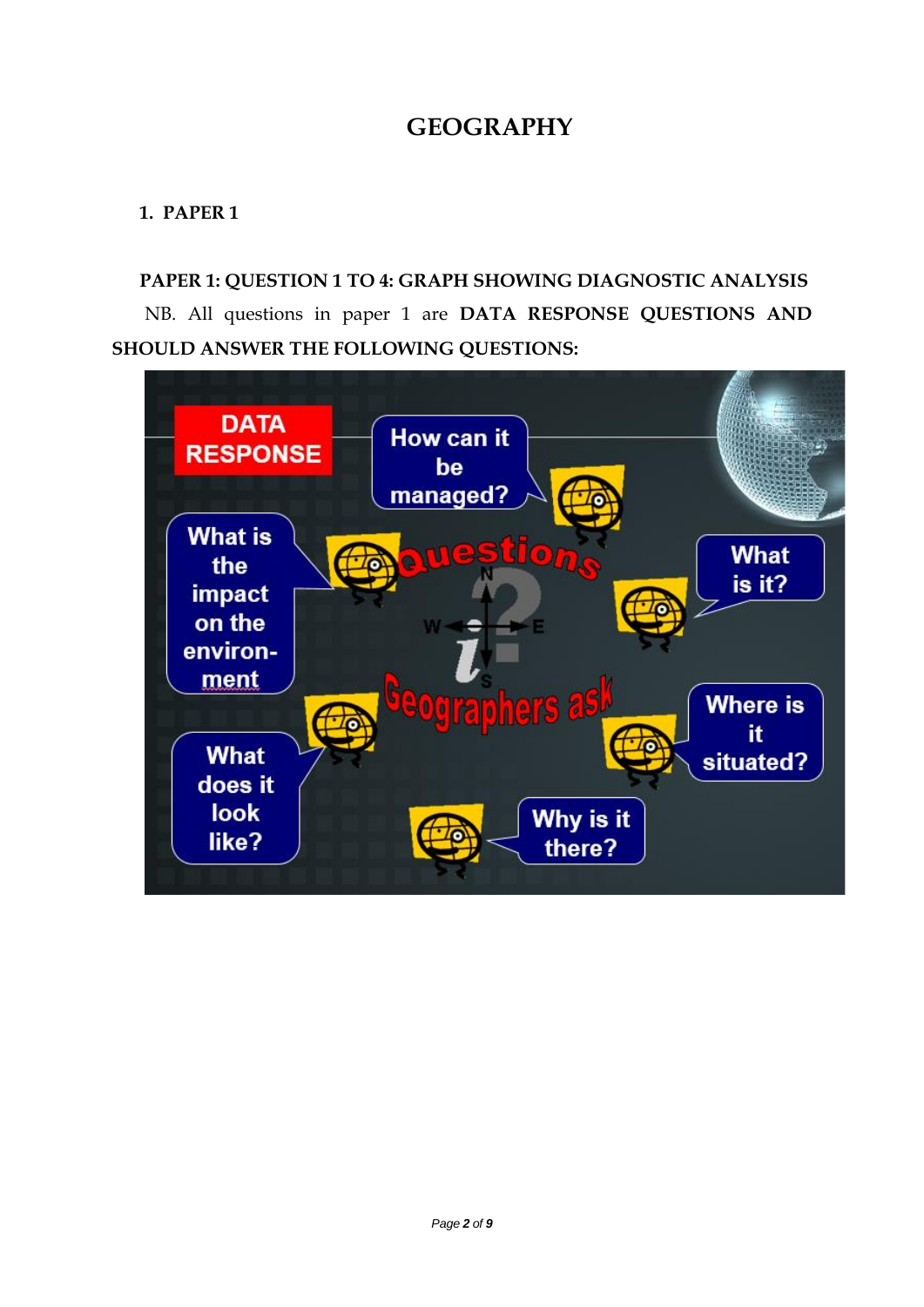## **GEOGRAPHY**

#### **1. PAPER 1**

**PAPER 1: QUESTION 1 TO 4: GRAPH SHOWING DIAGNOSTIC ANALYSIS**  NB. All questions in paper 1 are **DATA RESPONSE QUESTIONS AND SHOULD ANSWER THE FOLLOWING QUESTIONS:**

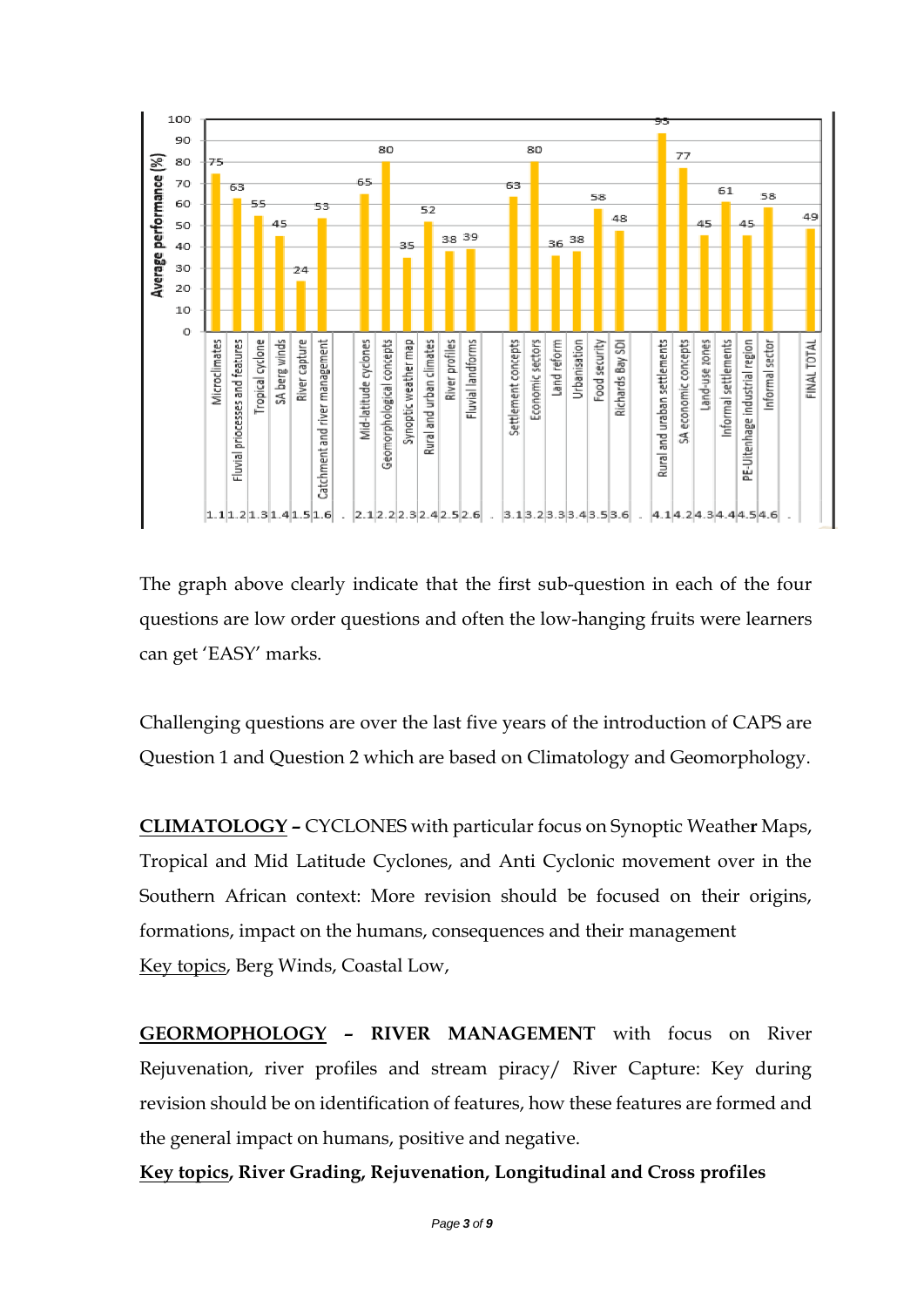

The graph above clearly indicate that the first sub-question in each of the four questions are low order questions and often the low-hanging fruits were learners can get 'EASY' marks.

Challenging questions are over the last five years of the introduction of CAPS are Question 1 and Question 2 which are based on Climatology and Geomorphology.

**CLIMATOLOGY –** CYCLONES with particular focus on Synoptic Weathe**r** Maps, Tropical and Mid Latitude Cyclones, and Anti Cyclonic movement over in the Southern African context: More revision should be focused on their origins, formations, impact on the humans, consequences and their management Key topics, Berg Winds, Coastal Low,

**GEORMOPHOLOGY – RIVER MANAGEMENT** with focus on River Rejuvenation, river profiles and stream piracy/ River Capture: Key during revision should be on identification of features, how these features are formed and the general impact on humans, positive and negative.

#### **Key topics, River Grading, Rejuvenation, Longitudinal and Cross profiles**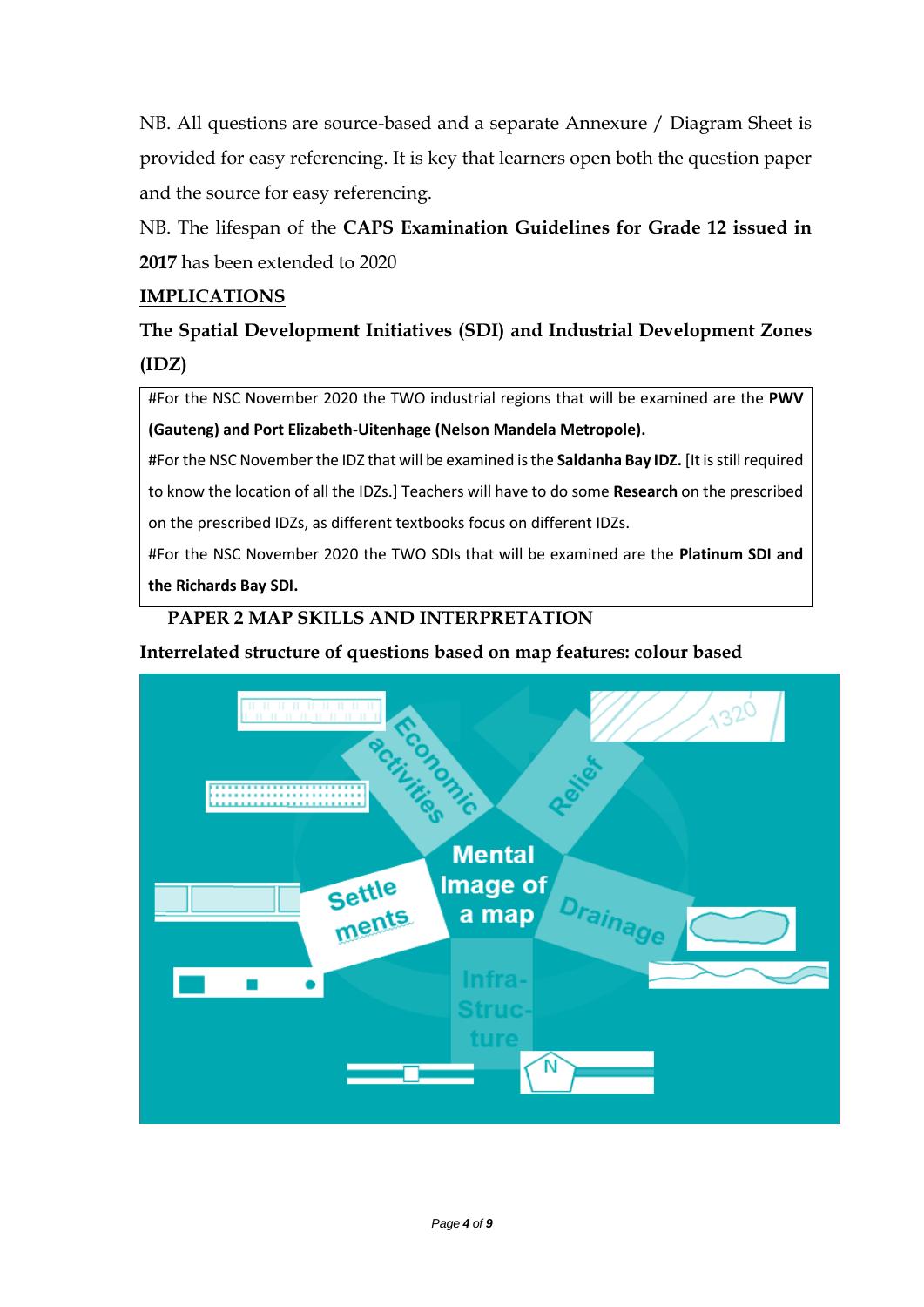NB. All questions are source-based and a separate Annexure / Diagram Sheet is provided for easy referencing. It is key that learners open both the question paper and the source for easy referencing.

NB. The lifespan of the **CAPS Examination Guidelines for Grade 12 issued in 2017** has been extended to 2020

#### **IMPLICATIONS**

**The Spatial Development Initiatives (SDI) and Industrial Development Zones (IDZ)**

#For the NSC November 2020 the TWO industrial regions that will be examined are the **PWV (Gauteng) and Port Elizabeth-Uitenhage (Nelson Mandela Metropole).**

#For the NSC November the IDZ that will be examined is the **Saldanha Bay IDZ.** [It is still required to know the location of all the IDZs.] Teachers will have to do some **Research** on the prescribed on the prescribed IDZs, as different textbooks focus on different IDZs.

#For the NSC November 2020 the TWO SDIs that will be examined are the **Platinum SDI and the Richards Bay SDI.**

#### **PAPER 2 MAP SKILLS AND INTERPRETATION**

**Interrelated structure of questions based on map features: colour based** 

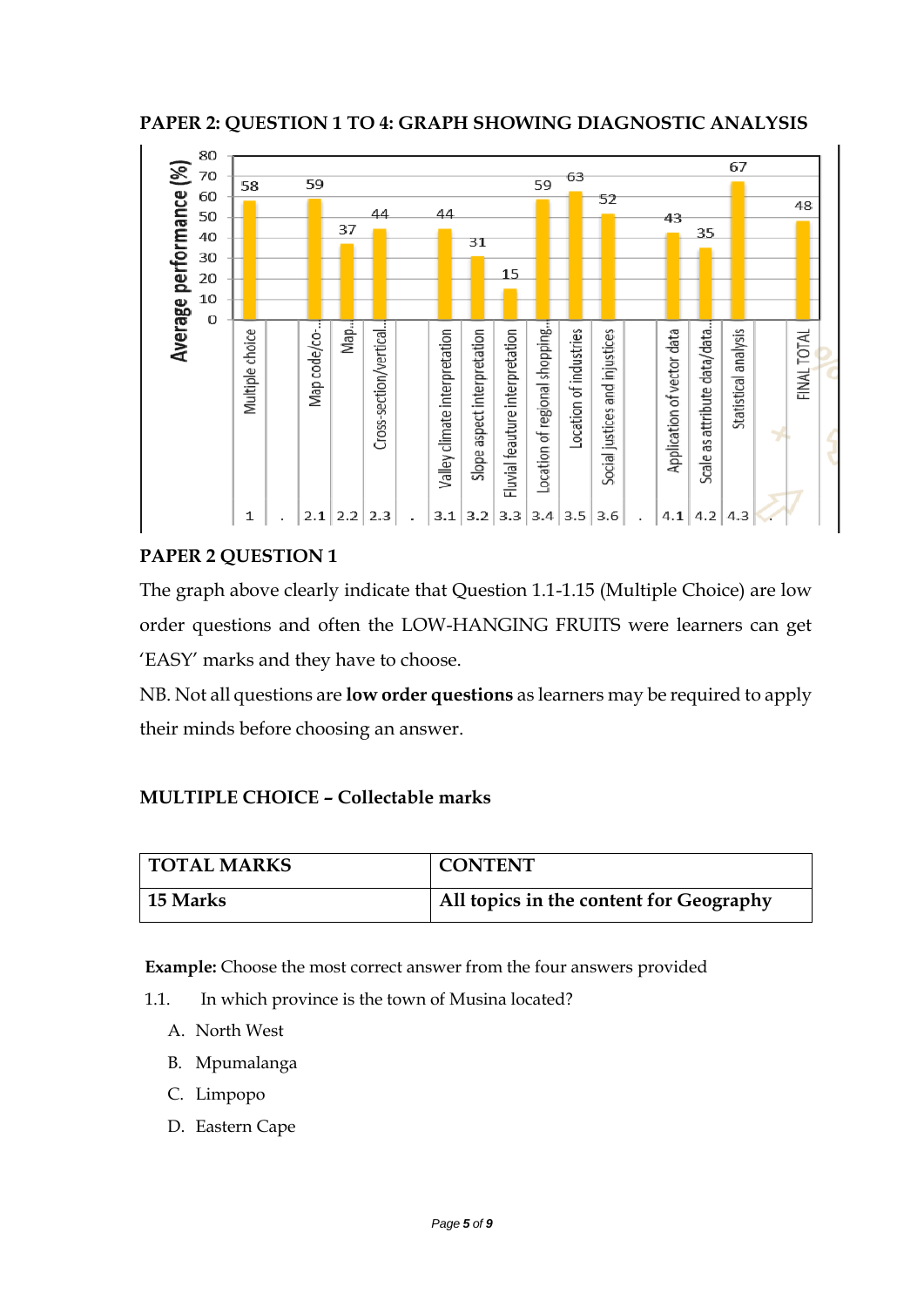#### **PAPER 2: QUESTION 1 TO 4: GRAPH SHOWING DIAGNOSTIC ANALYSIS**



#### **PAPER 2 QUESTION 1**

The graph above clearly indicate that Question 1.1-1.15 (Multiple Choice) are low order questions and often the LOW-HANGING FRUITS were learners can get 'EASY' marks and they have to choose.

NB. Not all questions are **low order questions** as learners may be required to apply their minds before choosing an answer.

#### **MULTIPLE CHOICE – Collectable marks**

| <b>TOTAL MARKS</b> | <b>CONTENT</b>                          |
|--------------------|-----------------------------------------|
| 15 Marks           | All topics in the content for Geography |

**Example:** Choose the most correct answer from the four answers provided

- 1.1. In which province is the town of Musina located?
	- A. North West
	- B. Mpumalanga
	- C. Limpopo
	- D. Eastern Cape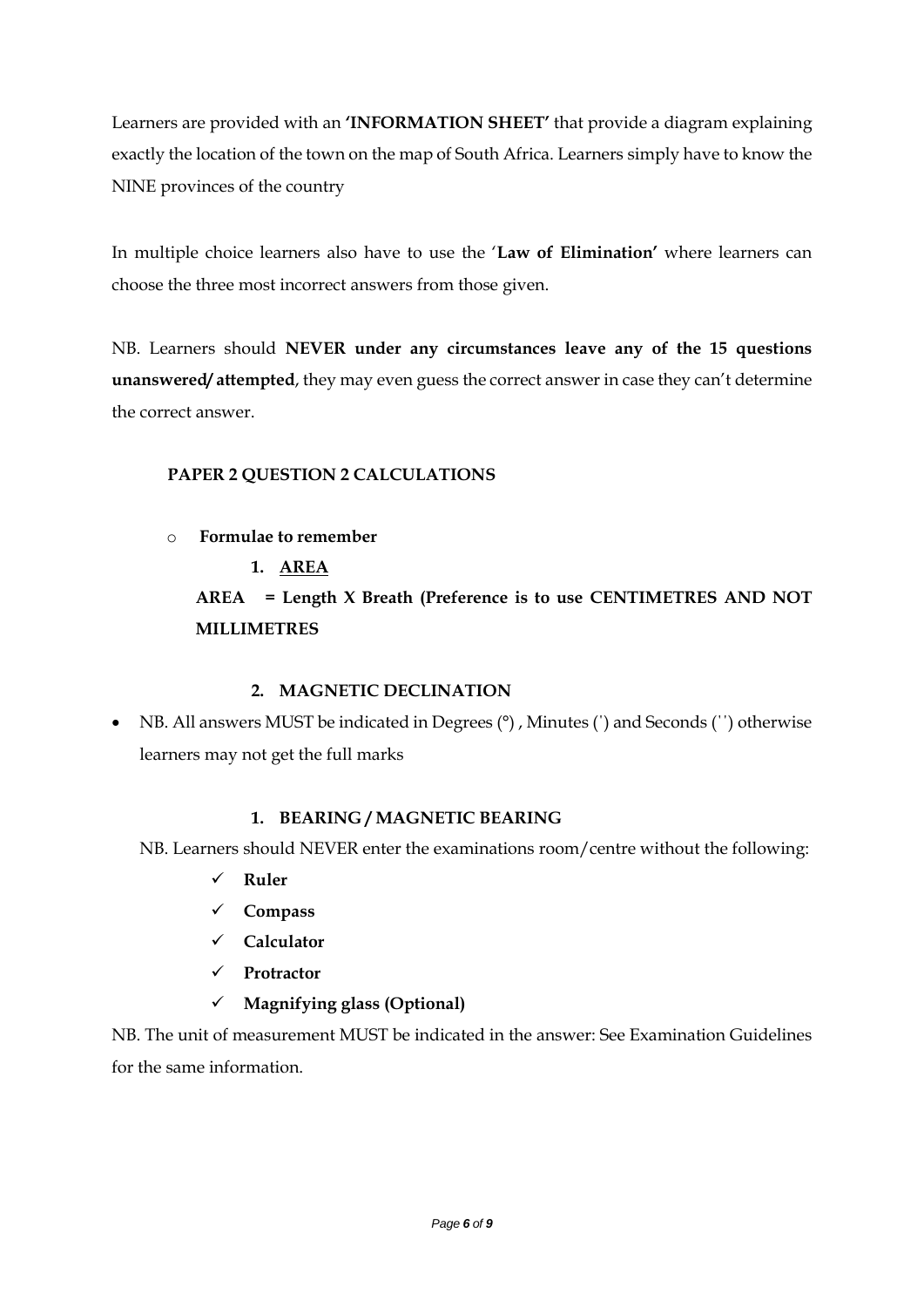Learners are provided with an **'INFORMATION SHEET'** that provide a diagram explaining exactly the location of the town on the map of South Africa. Learners simply have to know the NINE provinces of the country

In multiple choice learners also have to use the '**Law of Elimination'** where learners can choose the three most incorrect answers from those given.

NB. Learners should **NEVER under any circumstances leave any of the 15 questions unanswered/ attempted**, they may even guess the correct answer in case they can't determine the correct answer.

#### **PAPER 2 QUESTION 2 CALCULATIONS**

o **Formulae to remember** 

#### **1. AREA**

### **AREA = Length X Breath (Preference is to use CENTIMETRES AND NOT MILLIMETRES**

#### **2. MAGNETIC DECLINATION**

• NB. All answers MUST be indicated in Degrees ( $\degree$ ), Minutes ( $\degree$ ) and Seconds ( $\degree$ ) otherwise learners may not get the full marks

#### **1. BEARING / MAGNETIC BEARING**

- NB. Learners should NEVER enter the examinations room/centre without the following:
	- **Ruler**
	- **Compass**
	- **Calculator**
	- **Protractor**
	- **Magnifying glass (Optional)**

NB. The unit of measurement MUST be indicated in the answer: See Examination Guidelines for the same information.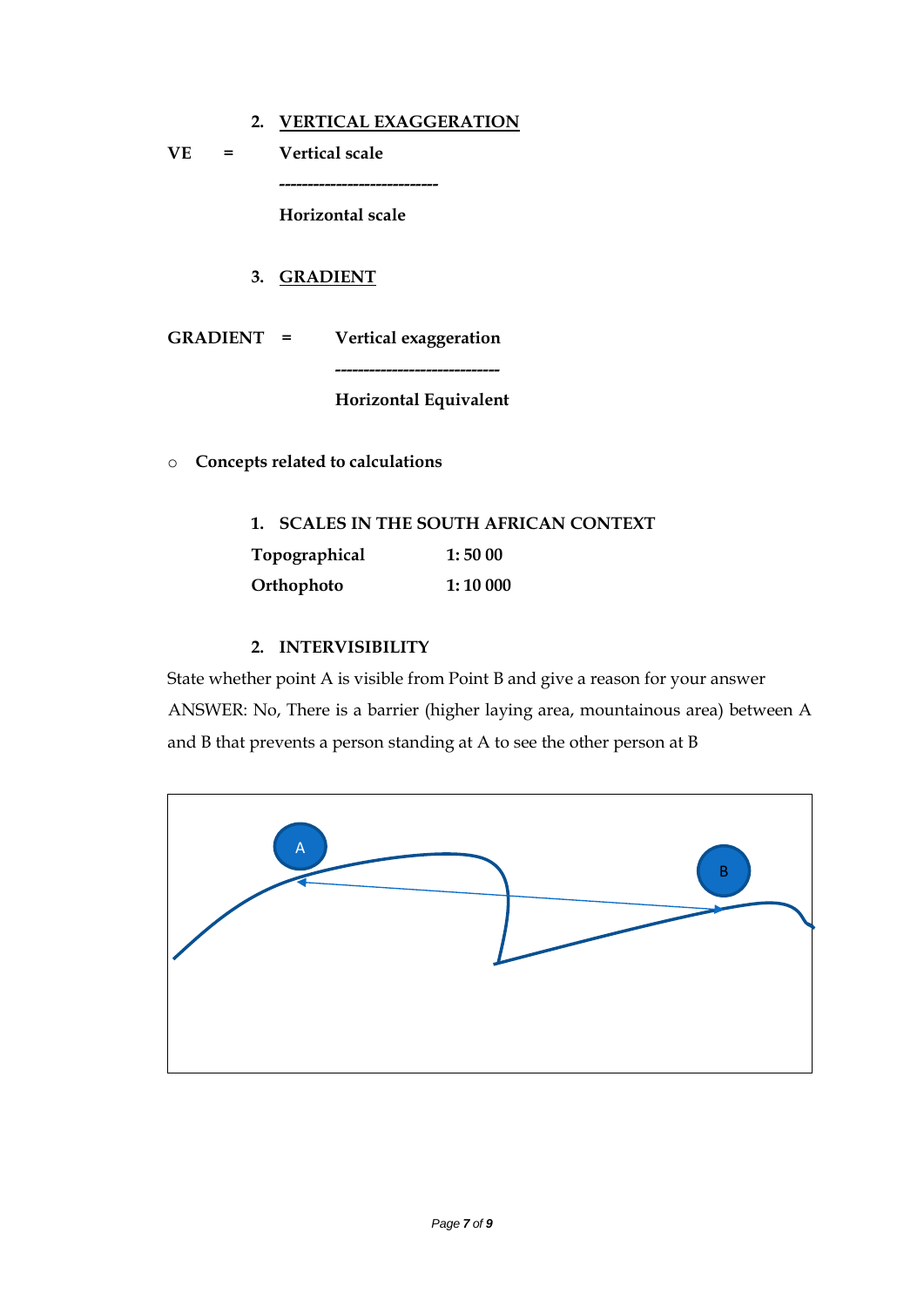#### **2. VERTICAL EXAGGERATION**

**VE = Vertical scale**

**----------------------------**

**Horizontal scale**

#### **3. GRADIENT**

**GRADIENT = Vertical exaggeration** 

 **-----------------------------**

**Horizontal Equivalent**

o **Concepts related to calculations** 

**1. SCALES IN THE SOUTH AFRICAN CONTEXT Topographical 1: 50 00 Orthophoto 1: 10 000**

#### **2. INTERVISIBILITY**

State whether point A is visible from Point B and give a reason for your answer ANSWER: No, There is a barrier (higher laying area, mountainous area) between A and B that prevents a person standing at A to see the other person at B

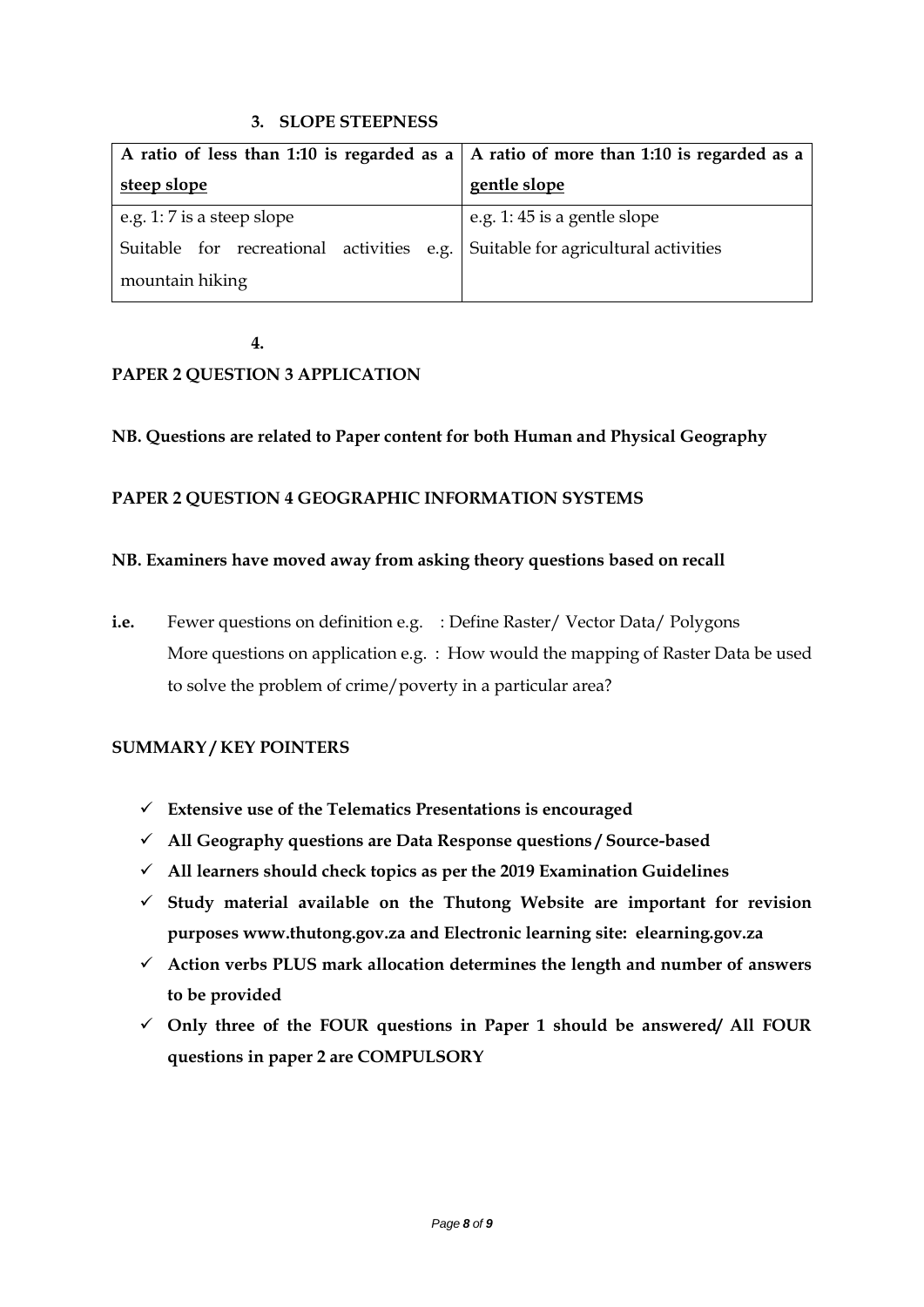#### **3. SLOPE STEEPNESS**

| A ratio of less than 1:10 is regarded as a $\vert$ A ratio of more than 1:10 is regarded as a |                             |
|-----------------------------------------------------------------------------------------------|-----------------------------|
| steep slope                                                                                   | gentle slope                |
| e.g. 1:7 is a steep slope                                                                     | e.g. 1:45 is a gentle slope |
| Suitable for recreational activities e.g. Suitable for agricultural activities                |                             |
| mountain hiking                                                                               |                             |

#### **4.**

#### **PAPER 2 QUESTION 3 APPLICATION**

#### **NB. Questions are related to Paper content for both Human and Physical Geography**

#### **PAPER 2 QUESTION 4 GEOGRAPHIC INFORMATION SYSTEMS**

#### **NB. Examiners have moved away from asking theory questions based on recall**

**i.e.** Fewer questions on definition e.g. : Define Raster/ Vector Data/ Polygons More questions on application e.g. : How would the mapping of Raster Data be used to solve the problem of crime/poverty in a particular area?

#### **SUMMARY / KEY POINTERS**

- **Extensive use of the Telematics Presentations is encouraged**
- **All Geography questions are Data Response questions / Source-based**
- **All learners should check topics as per the 2019 Examination Guidelines**
- **Study material available on the Thutong Website are important for revision purposes [www.thutong.gov.za](http://www.thutong.gov.za/) and Electronic learning site: elearning.gov.za**
- **Action verbs PLUS mark allocation determines the length and number of answers to be provided**
- **Only three of the FOUR questions in Paper 1 should be answered/ All FOUR questions in paper 2 are COMPULSORY**